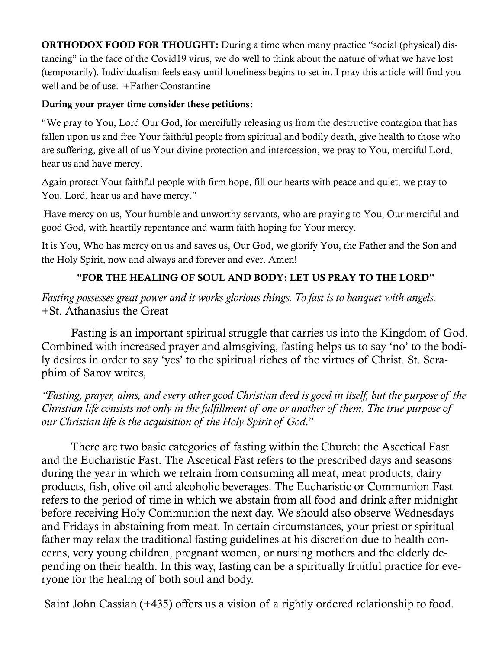ORTHODOX FOOD FOR THOUGHT: During a time when many practice "social (physical) distancing" in the face of the Covid19 virus, we do well to think about the nature of what we have lost (temporarily). Individualism feels easy until loneliness begins to set in. I pray this article will find you well and be of use. +Father Constantine

## During your prayer time consider these petitions:

"We pray to You, Lord Our God, for mercifully releasing us from the destructive contagion that has fallen upon us and free Your faithful people from spiritual and bodily death, give health to those who are suffering, give all of us Your divine protection and intercession, we pray to You, merciful Lord, hear us and have mercy.

Again protect Your faithful people with firm hope, fill our hearts with peace and quiet, we pray to You, Lord, hear us and have mercy."

Have mercy on us, Your humble and unworthy servants, who are praying to You, Our merciful and good God, with heartily repentance and warm faith hoping for Your mercy.

It is You, Who has mercy on us and saves us, Our God, we glorify You, the Father and the Son and the Holy Spirit, now and always and forever and ever. Amen!

## "FOR THE HEALING OF SOUL AND BODY: LET US PRAY TO THE LORD"

*Fasting possesses great power and it works glorious things. To fast is to banquet with angels.* +St. Athanasius the Great

Fasting is an important spiritual struggle that carries us into the Kingdom of God. Combined with increased prayer and almsgiving, fasting helps us to say 'no' to the bodily desires in order to say 'yes' to the spiritual riches of the virtues of Christ. St. Seraphim of Sarov writes,

*"Fasting, prayer, alms, and every other good Christian deed is good in itself, but the purpose of the Christian life consists not only in the fulfillment of one or another of them. The true purpose of our Christian life is the acquisition of the Holy Spirit of God*."

There are two basic categories of fasting within the Church: the Ascetical Fast and the Eucharistic Fast. The Ascetical Fast refers to the prescribed days and seasons during the year in which we refrain from consuming all meat, meat products, dairy products, fish, olive oil and alcoholic beverages. The Eucharistic or Communion Fast refers to the period of time in which we abstain from all food and drink after midnight before receiving Holy Communion the next day. We should also observe Wednesdays and Fridays in abstaining from meat. In certain circumstances, your priest or spiritual father may relax the traditional fasting guidelines at his discretion due to health concerns, very young children, pregnant women, or nursing mothers and the elderly depending on their health. In this way, fasting can be a spiritually fruitful practice for everyone for the healing of both soul and body.

Saint John Cassian (+435) offers us a vision of a rightly ordered relationship to food.